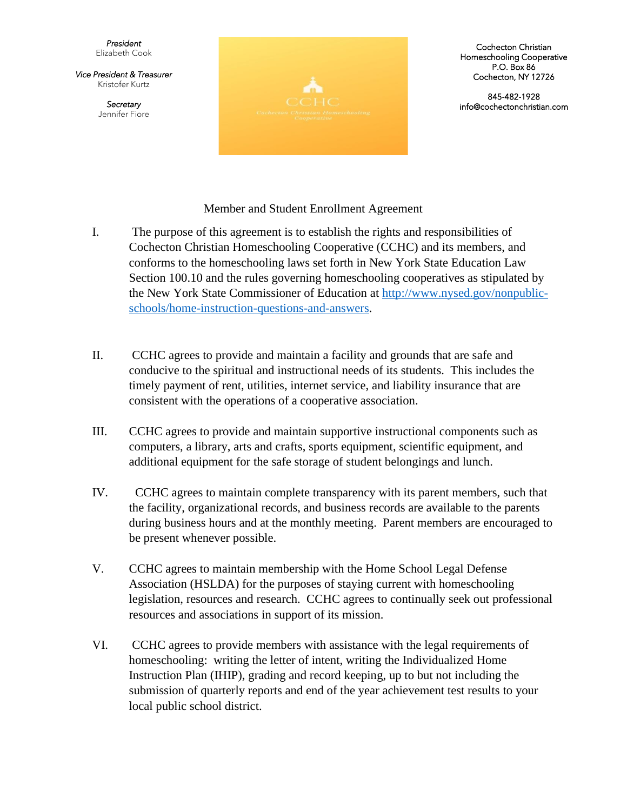*President*  Elizabeth Cook

*Vice President & Treasurer* Kristofer Kurtz

> *Secretary* Jennifer Fiore



Cochecton Christian Homeschooling Cooperative P.O. Box 86 Cochecton, NY 12726

845-482-1928 info@cochectonchristian.com

Member and Student Enrollment Agreement

- I. The purpose of this agreement is to establish the rights and responsibilities of Cochecton Christian Homeschooling Cooperative (CCHC) and its members, and conforms to the homeschooling laws set forth in New York State Education Law Section 100.10 and the rules governing homeschooling cooperatives as stipulated by the New York State Commissioner of Education at [http://www.nysed.gov/nonpublic](http://www.nysed.gov/nonpublic-schools/home-instruction-questions-and-answers)[schools/home-instruction-questions-and-answers.](http://www.nysed.gov/nonpublic-schools/home-instruction-questions-and-answers)
- II. CCHC agrees to provide and maintain a facility and grounds that are safe and conducive to the spiritual and instructional needs of its students. This includes the timely payment of rent, utilities, internet service, and liability insurance that are consistent with the operations of a cooperative association.
- III. CCHC agrees to provide and maintain supportive instructional components such as computers, a library, arts and crafts, sports equipment, scientific equipment, and additional equipment for the safe storage of student belongings and lunch.
- IV. CCHC agrees to maintain complete transparency with its parent members, such that the facility, organizational records, and business records are available to the parents during business hours and at the monthly meeting. Parent members are encouraged to be present whenever possible.
- V. CCHC agrees to maintain membership with the Home School Legal Defense Association (HSLDA) for the purposes of staying current with homeschooling legislation, resources and research. CCHC agrees to continually seek out professional resources and associations in support of its mission.
- VI. CCHC agrees to provide members with assistance with the legal requirements of homeschooling: writing the letter of intent, writing the Individualized Home Instruction Plan (IHIP), grading and record keeping, up to but not including the submission of quarterly reports and end of the year achievement test results to your local public school district.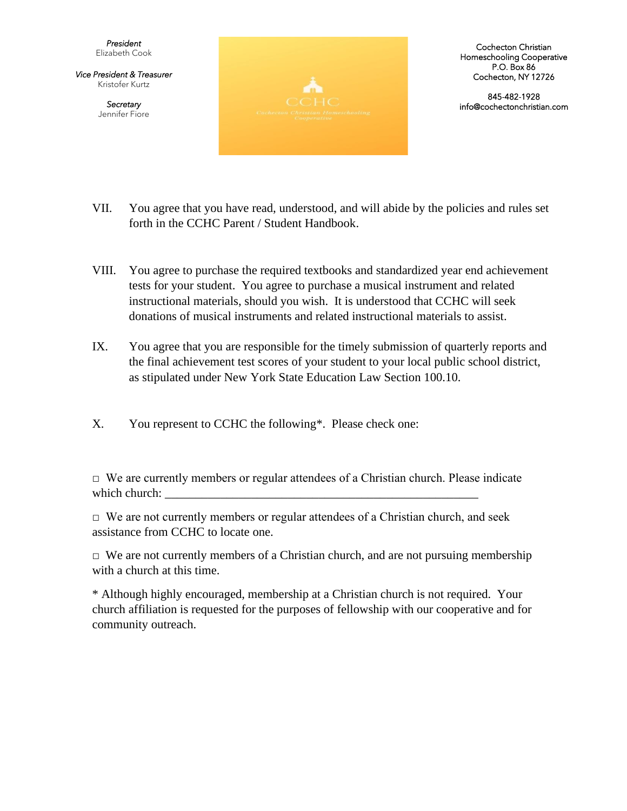*President*  Elizabeth Cook

*Vice President & Treasurer* Kristofer Kurtz

> *Secretary* Jennifer Fiore



Cochecton Christian Homeschooling Cooperative P.O. Box 86 Cochecton, NY 12726

845-482-1928 info@cochectonchristian.com

- VII. You agree that you have read, understood, and will abide by the policies and rules set forth in the CCHC Parent / Student Handbook.
- VIII. You agree to purchase the required textbooks and standardized year end achievement tests for your student. You agree to purchase a musical instrument and related instructional materials, should you wish. It is understood that CCHC will seek donations of musical instruments and related instructional materials to assist.
- IX. You agree that you are responsible for the timely submission of quarterly reports and the final achievement test scores of your student to your local public school district, as stipulated under New York State Education Law Section 100.10.
- X. You represent to CCHC the following\*. Please check one:

 $\Box$  We are currently members or regular attendees of a Christian church. Please indicate which church: \_\_\_\_\_\_\_\_\_\_\_\_\_\_\_\_\_\_\_\_\_\_\_\_\_\_\_\_\_\_\_\_\_\_\_\_\_\_\_\_\_\_\_\_\_\_\_\_\_\_\_

 $\Box$  We are not currently members or regular attendees of a Christian church, and seek assistance from CCHC to locate one.

 $\Box$  We are not currently members of a Christian church, and are not pursuing membership with a church at this time.

\* Although highly encouraged, membership at a Christian church is not required. Your church affiliation is requested for the purposes of fellowship with our cooperative and for community outreach.